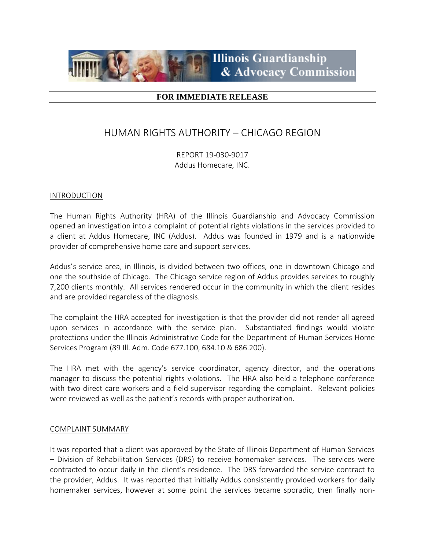

### **FOR IMMEDIATE RELEASE**

# HUMAN RIGHTS AUTHORITY – CHICAGO REGION

REPORT 19-030-9017 Addus Homecare, INC.

#### INTRODUCTION

The Human Rights Authority (HRA) of the Illinois Guardianship and Advocacy Commission opened an investigation into a complaint of potential rights violations in the services provided to a client at Addus Homecare, INC (Addus). Addus was founded in 1979 and is a nationwide provider of comprehensive home care and support services.

Addus's service area, in Illinois, is divided between two offices, one in downtown Chicago and one the southside of Chicago. The Chicago service region of Addus provides services to roughly 7,200 clients monthly. All services rendered occur in the community in which the client resides and are provided regardless of the diagnosis.

The complaint the HRA accepted for investigation is that the provider did not render all agreed upon services in accordance with the service plan. Substantiated findings would violate protections under the Illinois Administrative Code for the Department of Human Services Home Services Program (89 Ill. Adm. Code 677.100, 684.10 & 686.200).

The HRA met with the agency's service coordinator, agency director, and the operations manager to discuss the potential rights violations. The HRA also held a telephone conference with two direct care workers and a field supervisor regarding the complaint. Relevant policies were reviewed as well as the patient's records with proper authorization.

### COMPLAINT SUMMARY

It was reported that a client was approved by the State of Illinois Department of Human Services – Division of Rehabilitation Services (DRS) to receive homemaker services. The services were contracted to occur daily in the client's residence. The DRS forwarded the service contract to the provider, Addus. It was reported that initially Addus consistently provided workers for daily homemaker services, however at some point the services became sporadic, then finally non-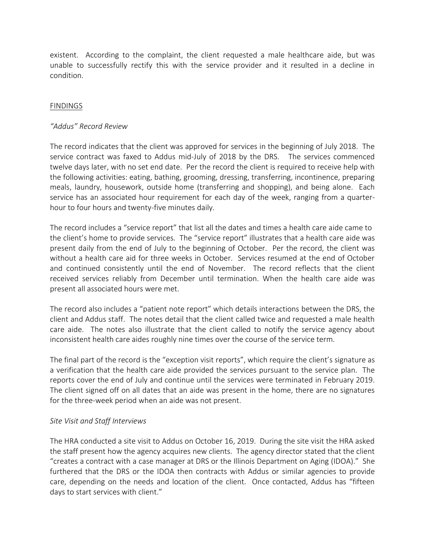existent. According to the complaint, the client requested a male healthcare aide, but was unable to successfully rectify this with the service provider and it resulted in a decline in condition.

### FINDINGS

### *"Addus" Record Review*

The record indicates that the client was approved for services in the beginning of July 2018. The service contract was faxed to Addus mid-July of 2018 by the DRS. The services commenced twelve days later, with no set end date. Per the record the client is required to receive help with the following activities: eating, bathing, grooming, dressing, transferring, incontinence, preparing meals, laundry, housework, outside home (transferring and shopping), and being alone. Each service has an associated hour requirement for each day of the week, ranging from a quarterhour to four hours and twenty-five minutes daily.

The record includes a "service report" that list all the dates and times a health care aide came to the client's home to provide services. The "service report" illustrates that a health care aide was present daily from the end of July to the beginning of October. Per the record, the client was without a health care aid for three weeks in October. Services resumed at the end of October and continued consistently until the end of November. The record reflects that the client received services reliably from December until termination. When the health care aide was present all associated hours were met.

The record also includes a "patient note report" which details interactions between the DRS, the client and Addus staff. The notes detail that the client called twice and requested a male health care aide. The notes also illustrate that the client called to notify the service agency about inconsistent health care aides roughly nine times over the course of the service term.

The final part of the record is the "exception visit reports", which require the client's signature as a verification that the health care aide provided the services pursuant to the service plan. The reports cover the end of July and continue until the services were terminated in February 2019. The client signed off on all dates that an aide was present in the home, there are no signatures for the three-week period when an aide was not present.

## *Site Visit and Staff Interviews*

The HRA conducted a site visit to Addus on October 16, 2019. During the site visit the HRA asked the staff present how the agency acquires new clients. The agency director stated that the client "creates a contract with a case manager at DRS or the Illinois Department on Aging (IDOA)." She furthered that the DRS or the IDOA then contracts with Addus or similar agencies to provide care, depending on the needs and location of the client. Once contacted, Addus has "fifteen days to start services with client."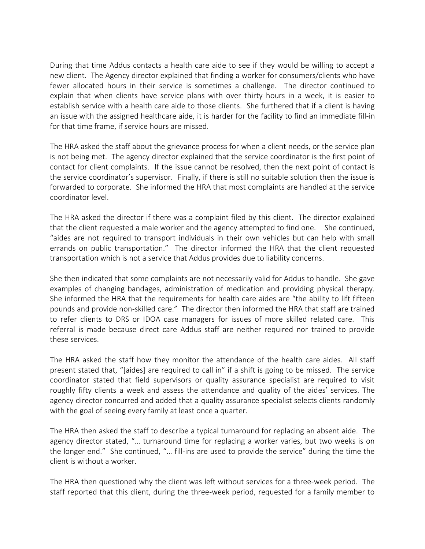During that time Addus contacts a health care aide to see if they would be willing to accept a new client. The Agency director explained that finding a worker for consumers/clients who have fewer allocated hours in their service is sometimes a challenge. The director continued to explain that when clients have service plans with over thirty hours in a week, it is easier to establish service with a health care aide to those clients. She furthered that if a client is having an issue with the assigned healthcare aide, it is harder for the facility to find an immediate fill-in for that time frame, if service hours are missed.

The HRA asked the staff about the grievance process for when a client needs, or the service plan is not being met. The agency director explained that the service coordinator is the first point of contact for client complaints. If the issue cannot be resolved, then the next point of contact is the service coordinator's supervisor. Finally, if there is still no suitable solution then the issue is forwarded to corporate. She informed the HRA that most complaints are handled at the service coordinator level.

The HRA asked the director if there was a complaint filed by this client. The director explained that the client requested a male worker and the agency attempted to find one. She continued, "aides are not required to transport individuals in their own vehicles but can help with small errands on public transportation." The director informed the HRA that the client requested transportation which is not a service that Addus provides due to liability concerns.

She then indicated that some complaints are not necessarily valid for Addus to handle. She gave examples of changing bandages, administration of medication and providing physical therapy. She informed the HRA that the requirements for health care aides are "the ability to lift fifteen pounds and provide non-skilled care." The director then informed the HRA that staff are trained to refer clients to DRS or IDOA case managers for issues of more skilled related care. This referral is made because direct care Addus staff are neither required nor trained to provide these services.

The HRA asked the staff how they monitor the attendance of the health care aides. All staff present stated that, "[aides] are required to call in" if a shift is going to be missed. The service coordinator stated that field supervisors or quality assurance specialist are required to visit roughly fifty clients a week and assess the attendance and quality of the aides' services. The agency director concurred and added that a quality assurance specialist selects clients randomly with the goal of seeing every family at least once a quarter.

The HRA then asked the staff to describe a typical turnaround for replacing an absent aide. The agency director stated, "… turnaround time for replacing a worker varies, but two weeks is on the longer end." She continued, "… fill-ins are used to provide the service" during the time the client is without a worker.

The HRA then questioned why the client was left without services for a three-week period. The staff reported that this client, during the three-week period, requested for a family member to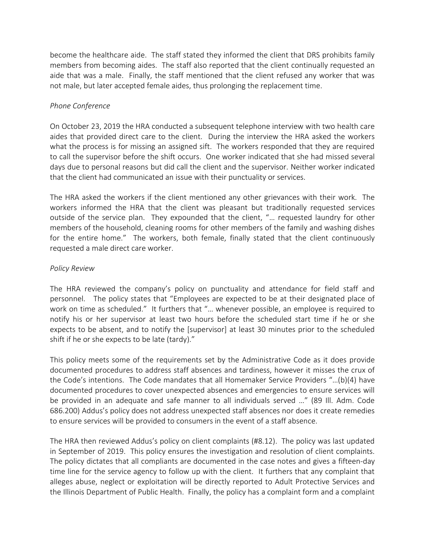become the healthcare aide. The staff stated they informed the client that DRS prohibits family members from becoming aides. The staff also reported that the client continually requested an aide that was a male. Finally, the staff mentioned that the client refused any worker that was not male, but later accepted female aides, thus prolonging the replacement time.

### *Phone Conference*

On October 23, 2019 the HRA conducted a subsequent telephone interview with two health care aides that provided direct care to the client. During the interview the HRA asked the workers what the process is for missing an assigned sift. The workers responded that they are required to call the supervisor before the shift occurs. One worker indicated that she had missed several days due to personal reasons but did call the client and the supervisor. Neither worker indicated that the client had communicated an issue with their punctuality or services.

The HRA asked the workers if the client mentioned any other grievances with their work. The workers informed the HRA that the client was pleasant but traditionally requested services outside of the service plan. They expounded that the client, "… requested laundry for other members of the household, cleaning rooms for other members of the family and washing dishes for the entire home." The workers, both female, finally stated that the client continuously requested a male direct care worker.

### *Policy Review*

The HRA reviewed the company's policy on punctuality and attendance for field staff and personnel. The policy states that "Employees are expected to be at their designated place of work on time as scheduled." It furthers that "… whenever possible, an employee is required to notify his or her supervisor at least two hours before the scheduled start time if he or she expects to be absent, and to notify the [supervisor] at least 30 minutes prior to the scheduled shift if he or she expects to be late (tardy)."

This policy meets some of the requirements set by the Administrative Code as it does provide documented procedures to address staff absences and tardiness, however it misses the crux of the Code's intentions. The Code mandates that all Homemaker Service Providers "…(b)(4) have documented procedures to cover unexpected absences and emergencies to ensure services will be provided in an adequate and safe manner to all individuals served …" (89 Ill. Adm. Code 686.200) Addus's policy does not address unexpected staff absences nor does it create remedies to ensure services will be provided to consumers in the event of a staff absence.

The HRA then reviewed Addus's policy on client complaints (#8.12). The policy was last updated in September of 2019. This policy ensures the investigation and resolution of client complaints. The policy dictates that all compliants are documented in the case notes and gives a fifteen-day time line for the service agency to follow up with the client. It furthers that any complaint that alleges abuse, neglect or exploitation will be directly reported to Adult Protective Services and the Illinois Department of Public Health. Finally, the policy has a complaint form and a complaint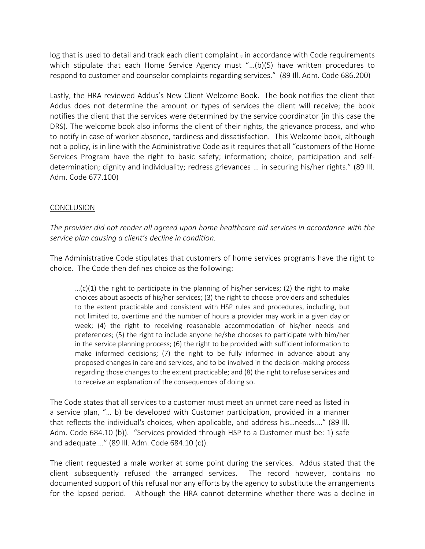log that is used to detail and track each client complaint - in accordance with Code requirements which stipulate that each Home Service Agency must "...(b)(5) have written procedures to respond to customer and counselor complaints regarding services." (89 Ill. Adm. Code 686.200)

Lastly, the HRA reviewed Addus's New Client Welcome Book. The book notifies the client that Addus does not determine the amount or types of services the client will receive; the book notifies the client that the services were determined by the service coordinator (in this case the DRS). The welcome book also informs the client of their rights, the grievance process, and who to notify in case of worker absence, tardiness and dissatisfaction. This Welcome book, although not a policy, is in line with the Administrative Code as it requires that all "customers of the Home Services Program have the right to basic safety; information; choice, participation and selfdetermination; dignity and individuality; redress grievances … in securing his/her rights." (89 Ill. Adm. Code 677.100)

### CONCLUSION

*The provider did not render all agreed upon home healthcare aid services in accordance with the service plan causing a client's decline in condition.* 

The Administrative Code stipulates that customers of home services programs have the right to choice. The Code then defines choice as the following:

...(c)(1) the right to participate in the planning of his/her services; (2) the right to make choices about aspects of his/her services; (3) the right to choose providers and schedules to the extent practicable and consistent with HSP rules and procedures, including, but not limited to, overtime and the number of hours a provider may work in a given day or week; (4) the right to receiving reasonable accommodation of his/her needs and preferences; (5) the right to include anyone he/she chooses to participate with him/her in the service planning process; (6) the right to be provided with sufficient information to make informed decisions; (7) the right to be fully informed in advance about any proposed changes in care and services, and to be involved in the decision-making process regarding those changes to the extent practicable; and (8) the right to refuse services and to receive an explanation of the consequences of doing so.

The Code states that all services to a customer must meet an unmet care need as listed in a service plan, "… b) be developed with Customer participation, provided in a manner that reflects the individual's choices, when applicable, and address his…needs.…" (89 Ill. Adm. Code 684.10 (b)). "Services provided through HSP to a Customer must be: 1) safe and adequate …" (89 Ill. Adm. Code 684.10 (c)).

The client requested a male worker at some point during the services. Addus stated that the client subsequently refused the arranged services. The record however, contains no documented support of this refusal nor any efforts by the agency to substitute the arrangements for the lapsed period. Although the HRA cannot determine whether there was a decline in